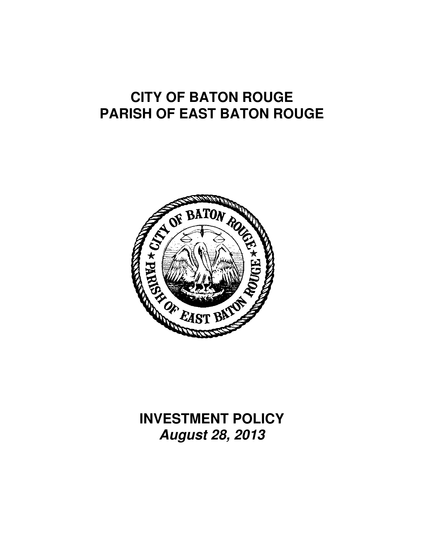# **CITY OF BATON ROUGE PARISH OF EAST BATON ROUGE**



**INVESTMENT POLICY August 28, 2013**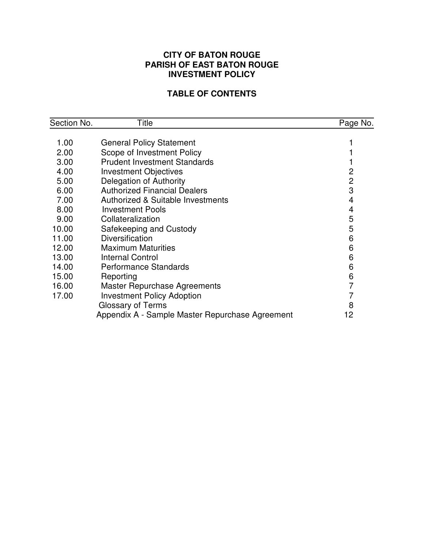# **CITY OF BATON ROUGE PARISH OF EAST BATON ROUGE INVESTMENT POLICY**

# **TABLE OF CONTENTS**

| Section No. | Title                                           | Page No. |
|-------------|-------------------------------------------------|----------|
|             |                                                 |          |
| 1.00        | <b>General Policy Statement</b>                 |          |
| 2.00        | Scope of Investment Policy                      |          |
| 3.00        | <b>Prudent Investment Standards</b>             |          |
| 4.00        | <b>Investment Objectives</b>                    | 2        |
| 5.00        | Delegation of Authority                         | 2        |
| 6.00        | <b>Authorized Financial Dealers</b>             | 3        |
| 7.00        | <b>Authorized &amp; Suitable Investments</b>    | 4        |
| 8.00        | <b>Investment Pools</b>                         | 4        |
| 9.00        | Collateralization                               | 5        |
| 10.00       | Safekeeping and Custody                         | 5        |
| 11.00       | <b>Diversification</b>                          | 6        |
| 12.00       | <b>Maximum Maturities</b>                       | 6        |
| 13.00       | <b>Internal Control</b>                         | 6        |
| 14.00       | <b>Performance Standards</b>                    | 6        |
| 15.00       | Reporting                                       | 6        |
| 16.00       | <b>Master Repurchase Agreements</b>             |          |
| 17.00       | <b>Investment Policy Adoption</b>               |          |
|             | Glossary of Terms                               | 8        |
|             | Appendix A - Sample Master Repurchase Agreement | 12       |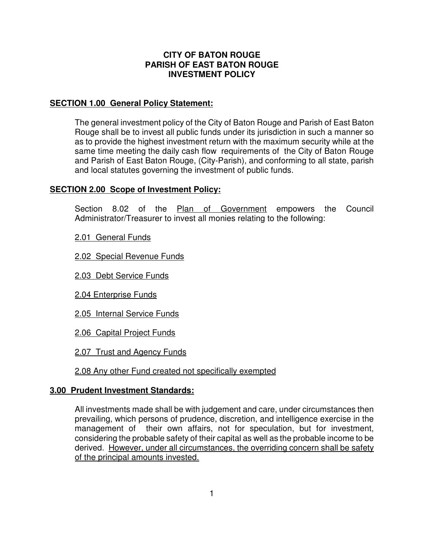## **CITY OF BATON ROUGE PARISH OF EAST BATON ROUGE INVESTMENT POLICY**

#### **SECTION 1.00 General Policy Statement:**

The general investment policy of the City of Baton Rouge and Parish of East Baton Rouge shall be to invest all public funds under its jurisdiction in such a manner so as to provide the highest investment return with the maximum security while at the same time meeting the daily cash flow requirements of the City of Baton Rouge and Parish of East Baton Rouge, (City-Parish), and conforming to all state, parish and local statutes governing the investment of public funds.

## **SECTION 2.00 Scope of Investment Policy:**

Section 8.02 of the Plan of Government empowers the Council Administrator/Treasurer to invest all monies relating to the following:

2.01 General Funds

2.02 Special Revenue Funds

2.03 Debt Service Funds

- 2.04 Enterprise Funds
- 2.05 Internal Service Funds
- 2.06 Capital Project Funds
- 2.07 Trust and Agency Funds
- 2.08 Any other Fund created not specifically exempted

## **3.00 Prudent Investment Standards:**

All investments made shall be with judgement and care, under circumstances then prevailing, which persons of prudence, discretion, and intelligence exercise in the management of their own affairs, not for speculation, but for investment, considering the probable safety of their capital as well as the probable income to be derived. However, under all circumstances, the overriding concern shall be safety of the principal amounts invested.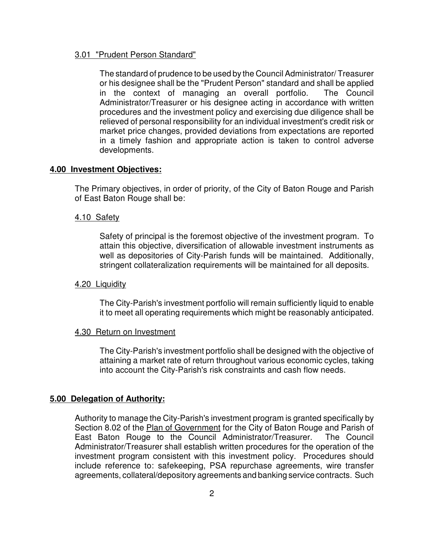#### 3.01 "Prudent Person Standard"

The standard of prudence to be used by the Council Administrator/ Treasurer or his designee shall be the "Prudent Person" standard and shall be applied in the context of managing an overall portfolio. The Council Administrator/Treasurer or his designee acting in accordance with written procedures and the investment policy and exercising due diligence shall be relieved of personal responsibility for an individual investment's credit risk or market price changes, provided deviations from expectations are reported in a timely fashion and appropriate action is taken to control adverse developments.

#### **4.00 Investment Objectives:**

The Primary objectives, in order of priority, of the City of Baton Rouge and Parish of East Baton Rouge shall be:

#### 4.10 Safety

Safety of principal is the foremost objective of the investment program. To attain this objective, diversification of allowable investment instruments as well as depositories of City-Parish funds will be maintained. Additionally, stringent collateralization requirements will be maintained for all deposits.

#### 4.20 Liquidity

The City-Parish's investment portfolio will remain sufficiently liquid to enable it to meet all operating requirements which might be reasonably anticipated.

#### 4.30 Return on Investment

The City-Parish's investment portfolio shall be designed with the objective of attaining a market rate of return throughout various economic cycles, taking into account the City-Parish's risk constraints and cash flow needs.

#### **5.00 Delegation of Authority:**

Authority to manage the City-Parish's investment program is granted specifically by Section 8.02 of the Plan of Government for the City of Baton Rouge and Parish of East Baton Rouge to the Council Administrator/Treasurer. The Council Administrator/Treasurer shall establish written procedures for the operation of the investment program consistent with this investment policy. Procedures should include reference to: safekeeping, PSA repurchase agreements, wire transfer agreements, collateral/depository agreements and banking service contracts. Such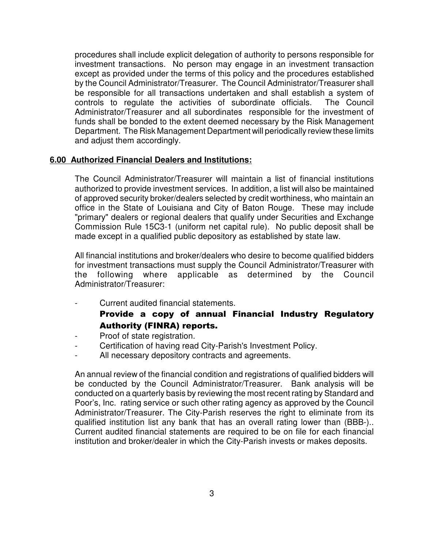procedures shall include explicit delegation of authority to persons responsible for investment transactions. No person may engage in an investment transaction except as provided under the terms of this policy and the procedures established by the Council Administrator/Treasurer. The Council Administrator/Treasurer shall be responsible for all transactions undertaken and shall establish a system of controls to regulate the activities of subordinate officials. The Council Administrator/Treasurer and all subordinates responsible for the investment of funds shall be bonded to the extent deemed necessary by the Risk Management Department. The Risk Management Department will periodically review these limits and adjust them accordingly.

#### **6.00 Authorized Financial Dealers and Institutions:**

The Council Administrator/Treasurer will maintain a list of financial institutions authorized to provide investment services. In addition, a list will also be maintained of approved security broker/dealers selected by credit worthiness, who maintain an office in the State of Louisiana and City of Baton Rouge. These may include "primary" dealers or regional dealers that qualify under Securities and Exchange Commission Rule 15C3-1 (uniform net capital rule). No public deposit shall be made except in a qualified public depository as established by state law.

All financial institutions and broker/dealers who desire to become qualified bidders for investment transactions must supply the Council Administrator/Treasurer with the following where applicable as determined by the Council Administrator/Treasurer:

- Current audited financial statements. Provide a copy of annual Financial Industry Regulatory Authority (FINRA) reports.
- Proof of state registration.
- Certification of having read City-Parish's Investment Policy.
- All necessary depository contracts and agreements.

An annual review of the financial condition and registrations of qualified bidders will be conducted by the Council Administrator/Treasurer. Bank analysis will be conducted on a quarterly basis by reviewing the most recent rating by Standard and Poor's, Inc. rating service or such other rating agency as approved by the Council Administrator/Treasurer. The City-Parish reserves the right to eliminate from its qualified institution list any bank that has an overall rating lower than (BBB-).. Current audited financial statements are required to be on file for each financial institution and broker/dealer in which the City-Parish invests or makes deposits.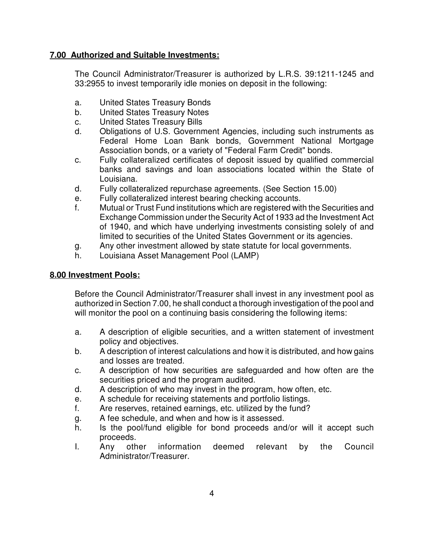## **7.00 Authorized and Suitable Investments:**

The Council Administrator/Treasurer is authorized by L.R.S. 39:1211-1245 and 33:2955 to invest temporarily idle monies on deposit in the following:

- a. United States Treasury Bonds
- b. United States Treasury Notes
- c. United States Treasury Bills
- d. Obligations of U.S. Government Agencies, including such instruments as Federal Home Loan Bank bonds, Government National Mortgage Association bonds, or a variety of "Federal Farm Credit" bonds.
- c. Fully collateralized certificates of deposit issued by qualified commercial banks and savings and loan associations located within the State of Louisiana.
- d. Fully collateralized repurchase agreements. (See Section 15.00)
- e. Fully collateralized interest bearing checking accounts.
- f. Mutual or Trust Fund institutions which are registered with the Securities and Exchange Commission under the Security Act of 1933 ad the Investment Act of 1940, and which have underlying investments consisting solely of and limited to securities of the United States Government or its agencies.
- g. Any other investment allowed by state statute for local governments.
- h. Louisiana Asset Management Pool (LAMP)

## **8.00 Investment Pools:**

Before the Council Administrator/Treasurer shall invest in any investment pool as authorized in Section 7.00, he shall conduct a thorough investigation of the pool and will monitor the pool on a continuing basis considering the following items:

- a. A description of eligible securities, and a written statement of investment policy and objectives.
- b. A description of interest calculations and how it is distributed, and how gains and losses are treated.
- c. A description of how securities are safeguarded and how often are the securities priced and the program audited.
- d. A description of who may invest in the program, how often, etc.
- e. A schedule for receiving statements and portfolio listings.
- f. Are reserves, retained earnings, etc. utilized by the fund?
- g. A fee schedule, and when and how is it assessed.
- h. Is the pool/fund eligible for bond proceeds and/or will it accept such proceeds.
- I. Any other information deemed relevant by the Council Administrator/Treasurer.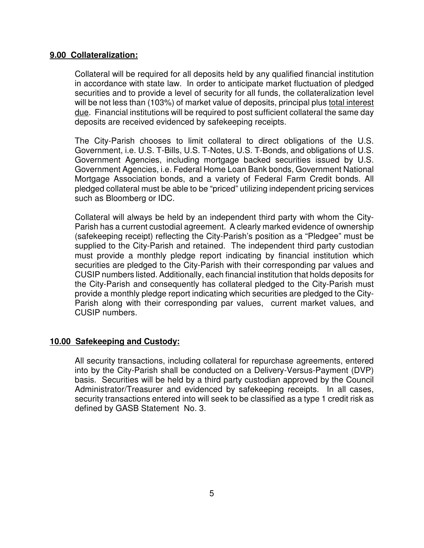#### **9.00 Collateralization:**

Collateral will be required for all deposits held by any qualified financial institution in accordance with state law. In order to anticipate market fluctuation of pledged securities and to provide a level of security for all funds, the collateralization level will be not less than (103%) of market value of deposits, principal plus total interest due. Financial institutions will be required to post sufficient collateral the same day deposits are received evidenced by safekeeping receipts.

The City-Parish chooses to limit collateral to direct obligations of the U.S. Government, i.e. U.S. T-Bills, U.S. T-Notes, U.S. T-Bonds, and obligations of U.S. Government Agencies, including mortgage backed securities issued by U.S. Government Agencies, i.e. Federal Home Loan Bank bonds, Government National Mortgage Association bonds, and a variety of Federal Farm Credit bonds. All pledged collateral must be able to be "priced" utilizing independent pricing services such as Bloomberg or IDC.

Collateral will always be held by an independent third party with whom the City-Parish has a current custodial agreement. A clearly marked evidence of ownership (safekeeping receipt) reflecting the City-Parish's position as a "Pledgee" must be supplied to the City-Parish and retained. The independent third party custodian must provide a monthly pledge report indicating by financial institution which securities are pledged to the City-Parish with their corresponding par values and CUSIP numbers listed. Additionally, each financial institution that holds deposits for the City-Parish and consequently has collateral pledged to the City-Parish must provide a monthly pledge report indicating which securities are pledged to the City-Parish along with their corresponding par values, current market values, and CUSIP numbers.

## **10.00 Safekeeping and Custody:**

All security transactions, including collateral for repurchase agreements, entered into by the City-Parish shall be conducted on a Delivery-Versus-Payment (DVP) basis. Securities will be held by a third party custodian approved by the Council Administrator/Treasurer and evidenced by safekeeping receipts. In all cases, security transactions entered into will seek to be classified as a type 1 credit risk as defined by GASB Statement No. 3.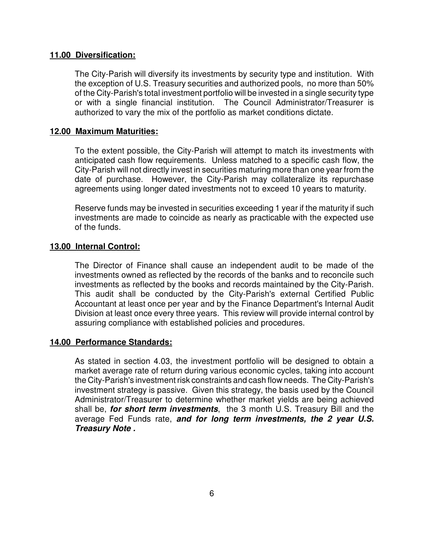#### **11.00 Diversification:**

The City-Parish will diversify its investments by security type and institution. With the exception of U.S. Treasury securities and authorized pools, no more than 50% of the City-Parish's total investment portfolio will be invested in a single security type or with a single financial institution. The Council Administrator/Treasurer is authorized to vary the mix of the portfolio as market conditions dictate.

#### **12.00 Maximum Maturities:**

To the extent possible, the City-Parish will attempt to match its investments with anticipated cash flow requirements. Unless matched to a specific cash flow, the City-Parish will not directly invest in securities maturing more than one year from the date of purchase. However, the City-Parish may collateralize its repurchase agreements using longer dated investments not to exceed 10 years to maturity.

Reserve funds may be invested in securities exceeding 1 year if the maturity if such investments are made to coincide as nearly as practicable with the expected use of the funds.

#### **13.00 Internal Control:**

The Director of Finance shall cause an independent audit to be made of the investments owned as reflected by the records of the banks and to reconcile such investments as reflected by the books and records maintained by the City-Parish. This audit shall be conducted by the City-Parish's external Certified Public Accountant at least once per year and by the Finance Department's Internal Audit Division at least once every three years. This review will provide internal control by assuring compliance with established policies and procedures.

#### **14.00 Performance Standards:**

As stated in section 4.03, the investment portfolio will be designed to obtain a market average rate of return during various economic cycles, taking into account the City-Parish's investment risk constraints and cash flow needs. The City-Parish's investment strategy is passive. Given this strategy, the basis used by the Council Administrator/Treasurer to determine whether market yields are being achieved shall be, **for short term investments**, the 3 month U.S. Treasury Bill and the average Fed Funds rate, **and for long term investments, the 2 year U.S. Treasury Note .**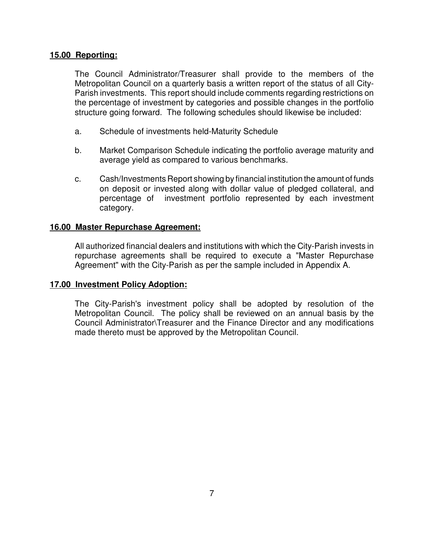## **15.00 Reporting:**

The Council Administrator/Treasurer shall provide to the members of the Metropolitan Council on a quarterly basis a written report of the status of all City-Parish investments. This report should include comments regarding restrictions on the percentage of investment by categories and possible changes in the portfolio structure going forward. The following schedules should likewise be included:

- a. Schedule of investments held-Maturity Schedule
- b. Market Comparison Schedule indicating the portfolio average maturity and average yield as compared to various benchmarks.
- c. Cash/Investments Report showing by financial institution the amount of funds on deposit or invested along with dollar value of pledged collateral, and percentage of investment portfolio represented by each investment category.

#### **16.00 Master Repurchase Agreement:**

All authorized financial dealers and institutions with which the City-Parish invests in repurchase agreements shall be required to execute a "Master Repurchase Agreement" with the City-Parish as per the sample included in Appendix A.

## **17.00 Investment Policy Adoption:**

The City-Parish's investment policy shall be adopted by resolution of the Metropolitan Council. The policy shall be reviewed on an annual basis by the Council Administrator\Treasurer and the Finance Director and any modifications made thereto must be approved by the Metropolitan Council.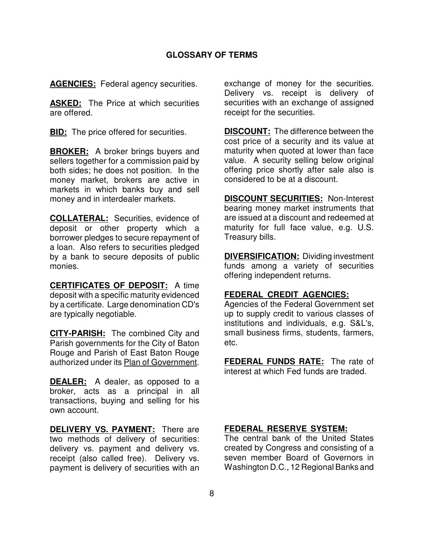## **GLOSSARY OF TERMS**

**AGENCIES:** Federal agency securities.

**ASKED:** The Price at which securities are offered.

**BID:** The price offered for securities.

**BROKER:** A broker brings buyers and sellers together for a commission paid by both sides; he does not position. In the money market, brokers are active in markets in which banks buy and sell money and in interdealer markets.

**COLLATERAL:** Securities, evidence of deposit or other property which a borrower pledges to secure repayment of a loan. Also refers to securities pledged by a bank to secure deposits of public monies.

**CERTIFICATES OF DEPOSIT:** A time deposit with a specific maturity evidenced by a certificate. Large denomination CD's are typically negotiable.

**CITY-PARISH:** The combined City and Parish governments for the City of Baton Rouge and Parish of East Baton Rouge authorized under its Plan of Government.

**DEALER:** A dealer, as opposed to a broker, acts as a principal in all transactions, buying and selling for his own account.

**DELIVERY VS. PAYMENT:** There are two methods of delivery of securities: delivery vs. payment and delivery vs. receipt (also called free). Delivery vs. payment is delivery of securities with an exchange of money for the securities. Delivery vs. receipt is delivery of securities with an exchange of assigned receipt for the securities.

**DISCOUNT:** The difference between the cost price of a security and its value at maturity when quoted at lower than face value. A security selling below original offering price shortly after sale also is considered to be at a discount.

**DISCOUNT SECURITIES:** Non-Interest bearing money market instruments that are issued at a discount and redeemed at maturity for full face value, e.g. U.S. Treasury bills.

**DIVERSIFICATION:** Dividing investment funds among a variety of securities offering independent returns.

#### **FEDERAL CREDIT AGENCIES:**

Agencies of the Federal Government set up to supply credit to various classes of institutions and individuals, e.g. S&L's, small business firms, students, farmers, etc.

**FEDERAL FUNDS RATE:** The rate of interest at which Fed funds are traded.

#### **FEDERAL RESERVE SYSTEM:**

The central bank of the United States created by Congress and consisting of a seven member Board of Governors in Washington D.C., 12 Regional Banks and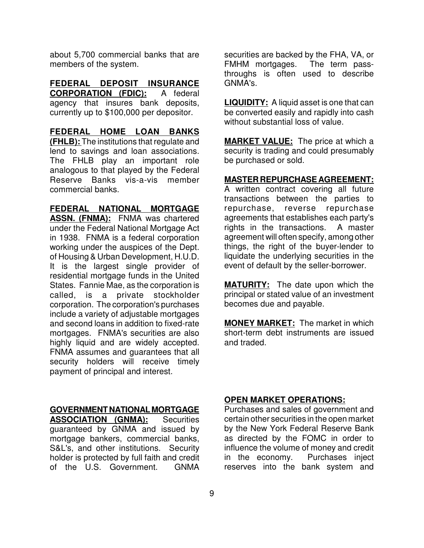about 5,700 commercial banks that are members of the system.

**FEDERAL DEPOSIT INSURANCE CORPORATION (FDIC):** A federal agency that insures bank deposits, currently up to \$100,000 per depositor.

**FEDERAL HOME LOAN BANKS (FHLB):** The institutions that regulate and lend to savings and loan associations. The FHLB play an important role analogous to that played by the Federal Reserve Banks vis-a-vis member commercial banks.

**FEDERAL NATIONAL MORTGAGE ASSN. (FNMA):** FNMA was chartered under the Federal National Mortgage Act in 1938. FNMA is a federal corporation working under the auspices of the Dept. of Housing & Urban Development, H.U.D. It is the largest single provider of residential mortgage funds in the United States. Fannie Mae, as the corporation is called, is a private stockholder corporation. The corporation's purchases include a variety of adjustable mortgages and second loans in addition to fixed-rate mortgages. FNMA's securities are also highly liquid and are widely accepted. FNMA assumes and guarantees that all security holders will receive timely payment of principal and interest.

securities are backed by the FHA, VA, or FMHM mortgages. The term passthroughs is often used to describe GNMA's.

**LIQUIDITY:** A liquid asset is one that can be converted easily and rapidly into cash without substantial loss of value.

**MARKET VALUE:** The price at which a security is trading and could presumably be purchased or sold.

#### **MASTER REPURCHASE AGREEMENT:**

A written contract covering all future transactions between the parties to repurchase, reverse repurchase agreements that establishes each party's rights in the transactions. A master agreement will often specify, among other things, the right of the buyer-lender to liquidate the underlying securities in the event of default by the seller-borrower.

**MATURITY:** The date upon which the principal or stated value of an investment becomes due and payable.

**MONEY MARKET:** The market in which short-term debt instruments are issued and traded.

#### **GOVERNMENT NATIONAL MORTGAGE**

ASSOCIATION (GNMA): Securities guaranteed by GNMA and issued by mortgage bankers, commercial banks, S&L's, and other institutions. Security holder is protected by full faith and credit of the U.S. Government. GNMA

#### **OPEN MARKET OPERATIONS:**

Purchases and sales of government and certain other securities in the open market by the New York Federal Reserve Bank as directed by the FOMC in order to influence the volume of money and credit in the economy. Purchases inject reserves into the bank system and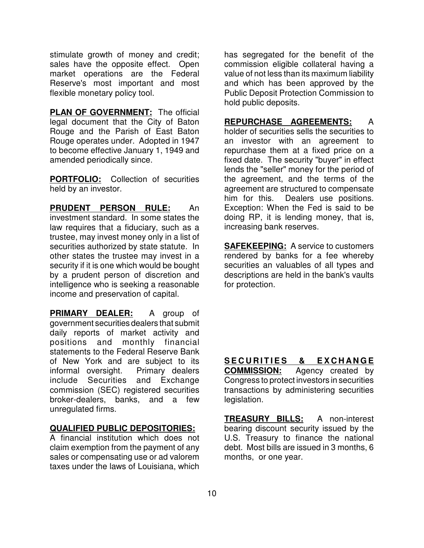stimulate growth of money and credit; sales have the opposite effect. Open market operations are the Federal Reserve's most important and most flexible monetary policy tool.

**PLAN OF GOVERNMENT:** The official legal document that the City of Baton Rouge and the Parish of East Baton Rouge operates under. Adopted in 1947 to become effective January 1, 1949 and amended periodically since.

**PORTFOLIO:** Collection of securities held by an investor.

**PRUDENT PERSON RULE:** An investment standard. In some states the law requires that a fiduciary, such as a trustee, may invest money only in a list of securities authorized by state statute. In other states the trustee may invest in a security if it is one which would be bought by a prudent person of discretion and intelligence who is seeking a reasonable income and preservation of capital.

**PRIMARY DEALER:** A group of government securities dealers that submit daily reports of market activity and positions and monthly financial statements to the Federal Reserve Bank of New York and are subject to its informal oversight. Primary dealers include Securities and Exchange commission (SEC) registered securities broker-dealers, banks, and a few unregulated firms.

#### **QUALIFIED PUBLIC DEPOSITORIES:**

A financial institution which does not claim exemption from the payment of any sales or compensating use or ad valorem taxes under the laws of Louisiana, which has segregated for the benefit of the commission eligible collateral having a value of not less than its maximum liability and which has been approved by the Public Deposit Protection Commission to hold public deposits.

**REPURCHASE AGREEMENTS:** A holder of securities sells the securities to an investor with an agreement to repurchase them at a fixed price on a fixed date. The security "buyer" in effect lends the "seller" money for the period of the agreement, and the terms of the agreement are structured to compensate him for this. Dealers use positions. Exception: When the Fed is said to be doing RP, it is lending money, that is, increasing bank reserves.

**SAFEKEEPING:** A service to customers rendered by banks for a fee whereby securities an valuables of all types and descriptions are held in the bank's vaults for protection.

**S E C U R I T I E S & E X C H A N G E COMMISSION:** Agency created by Congress to protect investors in securities transactions by administering securities legislation.

**TREASURY BILLS:** A non-interest bearing discount security issued by the U.S. Treasury to finance the national debt. Most bills are issued in 3 months, 6 months, or one year.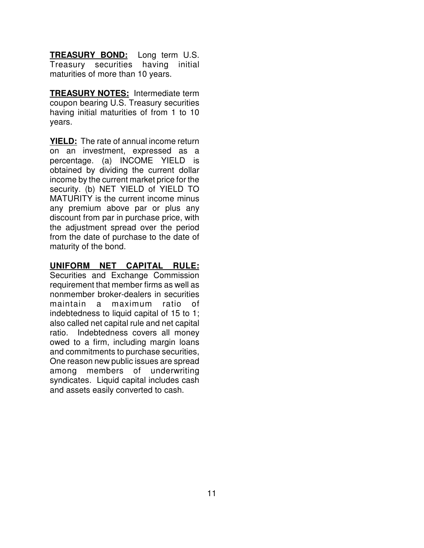**TREASURY BOND:** Long term U.S. Treasury securities having initial maturities of more than 10 years.

**TREASURY NOTES:** Intermediate term coupon bearing U.S. Treasury securities having initial maturities of from 1 to 10 years.

**YIELD:** The rate of annual income return on an investment, expressed as a percentage. (a) INCOME YIELD is obtained by dividing the current dollar income by the current market price for the security. (b) NET YIELD of YIELD TO MATURITY is the current income minus any premium above par or plus any discount from par in purchase price, with the adjustment spread over the period from the date of purchase to the date of maturity of the bond.

**UNIFORM NET CAPITAL RULE:** Securities and Exchange Commission requirement that member firms as well as nonmember broker-dealers in securities maintain a maximum ratio of indebtedness to liquid capital of 15 to 1; also called net capital rule and net capital ratio. Indebtedness covers all money owed to a firm, including margin loans and commitments to purchase securities, One reason new public issues are spread among members of underwriting syndicates. Liquid capital includes cash and assets easily converted to cash.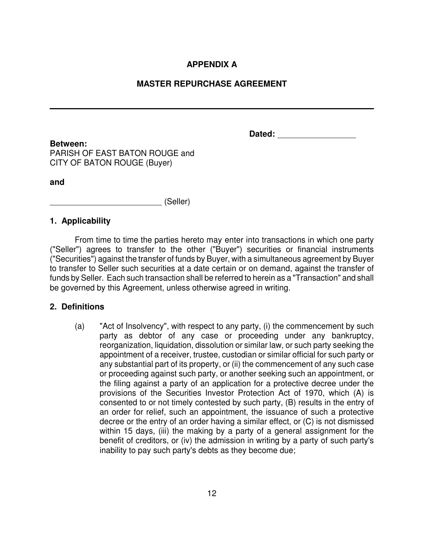# **APPENDIX A**

# **MASTER REPURCHASE AGREEMENT**

**Dated:** 

**Between:** PARISH OF EAST BATON ROUGE and CITY OF BATON ROUGE (Buyer)

**and**

(Seller)

#### **1. Applicability**

From time to time the parties hereto may enter into transactions in which one party ("Seller") agrees to transfer to the other ("Buyer") securities or financial instruments ("Securities") against the transfer of funds by Buyer, with a simultaneous agreement by Buyer to transfer to Seller such securities at a date certain or on demand, against the transfer of funds by Seller. Each such transaction shall be referred to herein as a "Transaction" and shall be governed by this Agreement, unless otherwise agreed in writing.

## **2. Definitions**

(a) "Act of Insolvency", with respect to any party, (i) the commencement by such party as debtor of any case or proceeding under any bankruptcy, reorganization, liquidation, dissolution or similar law, or such party seeking the appointment of a receiver, trustee, custodian or similar official for such party or any substantial part of its property, or (ii) the commencement of any such case or proceeding against such party, or another seeking such an appointment, or the filing against a party of an application for a protective decree under the provisions of the Securities Investor Protection Act of 1970, which (A) is consented to or not timely contested by such party, (B) results in the entry of an order for relief, such an appointment, the issuance of such a protective decree or the entry of an order having a similar effect, or (C) is not dismissed within 15 days, (iii) the making by a party of a general assignment for the benefit of creditors, or (iv) the admission in writing by a party of such party's inability to pay such party's debts as they become due;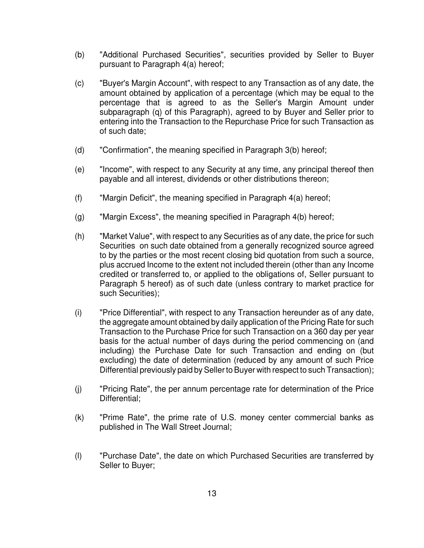- (b) "Additional Purchased Securities", securities provided by Seller to Buyer pursuant to Paragraph 4(a) hereof;
- (c) "Buyer's Margin Account", with respect to any Transaction as of any date, the amount obtained by application of a percentage (which may be equal to the percentage that is agreed to as the Seller's Margin Amount under subparagraph (q) of this Paragraph), agreed to by Buyer and Seller prior to entering into the Transaction to the Repurchase Price for such Transaction as of such date;
- (d) "Confirmation", the meaning specified in Paragraph 3(b) hereof;
- (e) "Income", with respect to any Security at any time, any principal thereof then payable and all interest, dividends or other distributions thereon;
- (f) "Margin Deficit", the meaning specified in Paragraph 4(a) hereof;
- (g) "Margin Excess", the meaning specified in Paragraph 4(b) hereof;
- (h) "Market Value", with respect to any Securities as of any date, the price for such Securities on such date obtained from a generally recognized source agreed to by the parties or the most recent closing bid quotation from such a source, plus accrued Income to the extent not included therein (other than any Income credited or transferred to, or applied to the obligations of, Seller pursuant to Paragraph 5 hereof) as of such date (unless contrary to market practice for such Securities);
- (i) "Price Differential", with respect to any Transaction hereunder as of any date, the aggregate amount obtained by daily application of the Pricing Rate for such Transaction to the Purchase Price for such Transaction on a 360 day per year basis for the actual number of days during the period commencing on (and including) the Purchase Date for such Transaction and ending on (but excluding) the date of determination (reduced by any amount of such Price Differential previously paid by Seller to Buyer with respect to such Transaction);
- (j) "Pricing Rate", the per annum percentage rate for determination of the Price Differential;
- (k) "Prime Rate", the prime rate of U.S. money center commercial banks as published in The Wall Street Journal;
- (l) "Purchase Date", the date on which Purchased Securities are transferred by Seller to Buyer;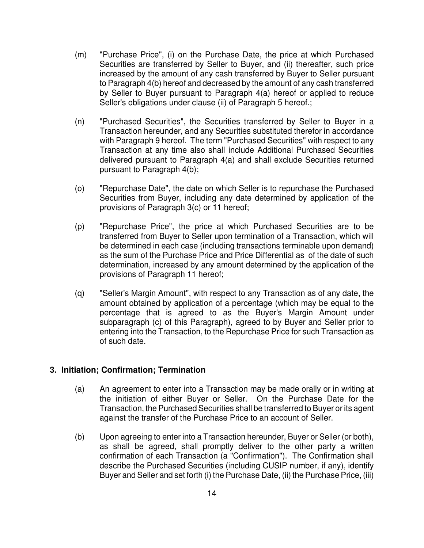- (m) "Purchase Price", (i) on the Purchase Date, the price at which Purchased Securities are transferred by Seller to Buyer, and (ii) thereafter, such price increased by the amount of any cash transferred by Buyer to Seller pursuant to Paragraph 4(b) hereof and decreased by the amount of any cash transferred by Seller to Buyer pursuant to Paragraph 4(a) hereof or applied to reduce Seller's obligations under clause (ii) of Paragraph 5 hereof.;
- (n) "Purchased Securities", the Securities transferred by Seller to Buyer in a Transaction hereunder, and any Securities substituted therefor in accordance with Paragraph 9 hereof. The term "Purchased Securities" with respect to any Transaction at any time also shall include Additional Purchased Securities delivered pursuant to Paragraph 4(a) and shall exclude Securities returned pursuant to Paragraph 4(b);
- (o) "Repurchase Date", the date on which Seller is to repurchase the Purchased Securities from Buyer, including any date determined by application of the provisions of Paragraph 3(c) or 11 hereof;
- (p) "Repurchase Price", the price at which Purchased Securities are to be transferred from Buyer to Seller upon termination of a Transaction, which will be determined in each case (including transactions terminable upon demand) as the sum of the Purchase Price and Price Differential as of the date of such determination, increased by any amount determined by the application of the provisions of Paragraph 11 hereof;
- (q) "Seller's Margin Amount", with respect to any Transaction as of any date, the amount obtained by application of a percentage (which may be equal to the percentage that is agreed to as the Buyer's Margin Amount under subparagraph (c) of this Paragraph), agreed to by Buyer and Seller prior to entering into the Transaction, to the Repurchase Price for such Transaction as of such date.

## **3. Initiation; Confirmation; Termination**

- (a) An agreement to enter into a Transaction may be made orally or in writing at the initiation of either Buyer or Seller. On the Purchase Date for the Transaction, the Purchased Securities shall be transferred to Buyer or its agent against the transfer of the Purchase Price to an account of Seller.
- (b) Upon agreeing to enter into a Transaction hereunder, Buyer or Seller (or both), as shall be agreed, shall promptly deliver to the other party a written confirmation of each Transaction (a "Confirmation"). The Confirmation shall describe the Purchased Securities (including CUSIP number, if any), identify Buyer and Seller and set forth (i) the Purchase Date, (ii) the Purchase Price, (iii)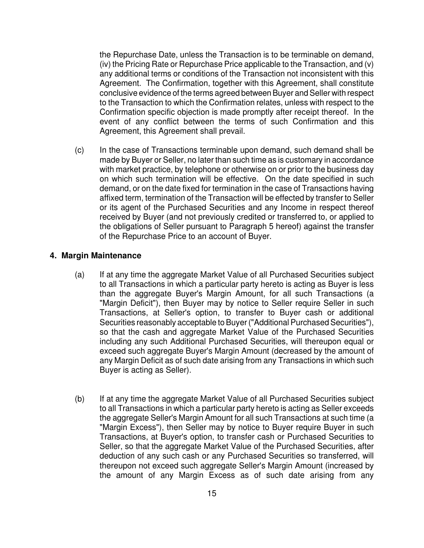the Repurchase Date, unless the Transaction is to be terminable on demand, (iv) the Pricing Rate or Repurchase Price applicable to the Transaction, and (v) any additional terms or conditions of the Transaction not inconsistent with this Agreement. The Confirmation, together with this Agreement, shall constitute conclusive evidence of the terms agreed between Buyer and Seller with respect to the Transaction to which the Confirmation relates, unless with respect to the Confirmation specific objection is made promptly after receipt thereof. In the event of any conflict between the terms of such Confirmation and this Agreement, this Agreement shall prevail.

(c) In the case of Transactions terminable upon demand, such demand shall be made by Buyer or Seller, no later than such time as is customary in accordance with market practice, by telephone or otherwise on or prior to the business day on which such termination will be effective. On the date specified in such demand, or on the date fixed for termination in the case of Transactions having affixed term, termination of the Transaction will be effected by transfer to Seller or its agent of the Purchased Securities and any Income in respect thereof received by Buyer (and not previously credited or transferred to, or applied to the obligations of Seller pursuant to Paragraph 5 hereof) against the transfer of the Repurchase Price to an account of Buyer.

## **4. Margin Maintenance**

- (a) If at any time the aggregate Market Value of all Purchased Securities subject to all Transactions in which a particular party hereto is acting as Buyer is less than the aggregate Buyer's Margin Amount, for all such Transactions (a "Margin Deficit"), then Buyer may by notice to Seller require Seller in such Transactions, at Seller's option, to transfer to Buyer cash or additional Securities reasonably acceptable to Buyer ("Additional Purchased Securities"), so that the cash and aggregate Market Value of the Purchased Securities including any such Additional Purchased Securities, will thereupon equal or exceed such aggregate Buyer's Margin Amount (decreased by the amount of any Margin Deficit as of such date arising from any Transactions in which such Buyer is acting as Seller).
- (b) If at any time the aggregate Market Value of all Purchased Securities subject to all Transactions in which a particular party hereto is acting as Seller exceeds the aggregate Seller's Margin Amount for all such Transactions at such time (a "Margin Excess"), then Seller may by notice to Buyer require Buyer in such Transactions, at Buyer's option, to transfer cash or Purchased Securities to Seller, so that the aggregate Market Value of the Purchased Securities, after deduction of any such cash or any Purchased Securities so transferred, will thereupon not exceed such aggregate Seller's Margin Amount (increased by the amount of any Margin Excess as of such date arising from any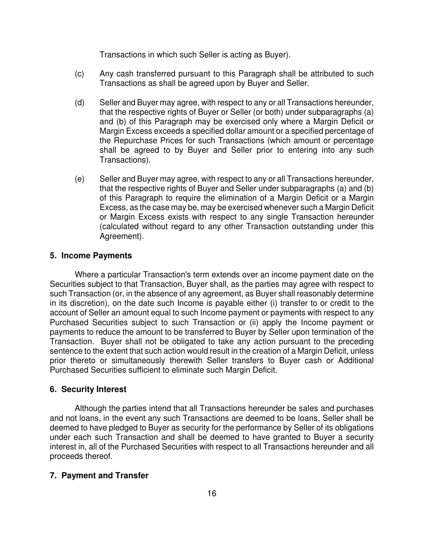Transactions in which such Seller is acting as Buyer).

- (c) Any cash transferred pursuant to this Paragraph shall be attributed to such Transactions as shall be agreed upon by Buyer and Seller.
- (d) Seller and Buyer may agree, with respect to any or all Transactions hereunder, that the respective rights of Buyer or Seller (or both) under subparagraphs (a) and (b) of this Paragraph may be exercised only where a Margin Deficit or Margin Excess exceeds a specified dollar amount or a specified percentage of the Repurchase Prices for such Transactions (which amount or percentage shall be agreed to by Buyer and Seller prior to entering into any such Transactions).
- (e) Seller and Buyer may agree, with respect to any or all Transactions hereunder, that the respective rights of Buyer and Seller under subparagraphs (a) and (b) of this Paragraph to require the elimination of a Margin Deficit or a Margin Excess, as the case may be, may be exercised whenever such a Margin Deficit or Margin Excess exists with respect to any single Transaction hereunder (calculated without regard to any other Transaction outstanding under this Agreement).

#### **5. Income Payments**

Where a particular Transaction's term extends over an income payment date on the Securities subject to that Transaction, Buyer shall, as the parties may agree with respect to such Transaction (or, in the absence of any agreement, as Buyer shall reasonably determine in its discretion), on the date such Income is payable either (i) transfer to or credit to the account of Seller an amount equal to such Income payment or payments with respect to any Purchased Securities subject to such Transaction or (ii) apply the Income payment or payments to reduce the amount to be transferred to Buyer by Seller upon termination of the Transaction. Buyer shall not be obligated to take any action pursuant to the preceding sentence to the extent that such action would result in the creation of a Margin Deficit, unless prior thereto or simultaneously therewith Seller transfers to Buyer cash or Additional Purchased Securities sufficient to eliminate such Margin Deficit.

#### **6. Security Interest**

Although the parties intend that all Transactions hereunder be sales and purchases and not loans, in the event any such Transactions are deemed to be loans, Seller shall be deemed to have pledged to Buyer as security for the performance by Seller of its obligations under each such Transaction and shall be deemed to have granted to Buyer a security interest in, all of the Purchased Securities with respect to all Transactions hereunder and all proceeds thereof.

## **7. Payment and Transfer**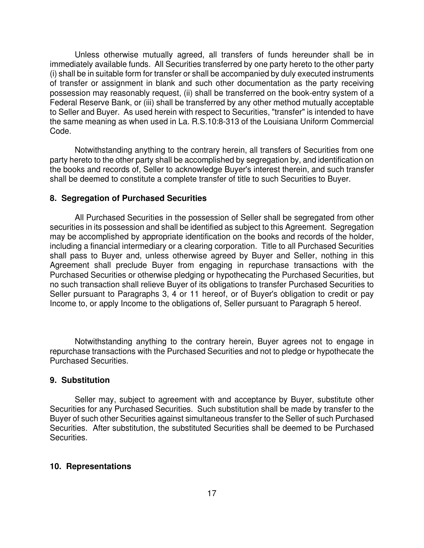Unless otherwise mutually agreed, all transfers of funds hereunder shall be in immediately available funds. All Securities transferred by one party hereto to the other party (i) shall be in suitable form for transfer or shall be accompanied by duly executed instruments of transfer or assignment in blank and such other documentation as the party receiving possession may reasonably request, (ii) shall be transferred on the book-entry system of a Federal Reserve Bank, or (iii) shall be transferred by any other method mutually acceptable to Seller and Buyer. As used herein with respect to Securities, "transfer" is intended to have the same meaning as when used in La. R.S.10:8-313 of the Louisiana Uniform Commercial Code.

Notwithstanding anything to the contrary herein, all transfers of Securities from one party hereto to the other party shall be accomplished by segregation by, and identification on the books and records of, Seller to acknowledge Buyer's interest therein, and such transfer shall be deemed to constitute a complete transfer of title to such Securities to Buyer.

#### **8. Segregation of Purchased Securities**

All Purchased Securities in the possession of Seller shall be segregated from other securities in its possession and shall be identified as subject to this Agreement. Segregation may be accomplished by appropriate identification on the books and records of the holder, including a financial intermediary or a clearing corporation. Title to all Purchased Securities shall pass to Buyer and, unless otherwise agreed by Buyer and Seller, nothing in this Agreement shall preclude Buyer from engaging in repurchase transactions with the Purchased Securities or otherwise pledging or hypothecating the Purchased Securities, but no such transaction shall relieve Buyer of its obligations to transfer Purchased Securities to Seller pursuant to Paragraphs 3, 4 or 11 hereof, or of Buyer's obligation to credit or pay Income to, or apply Income to the obligations of, Seller pursuant to Paragraph 5 hereof.

Notwithstanding anything to the contrary herein, Buyer agrees not to engage in repurchase transactions with the Purchased Securities and not to pledge or hypothecate the Purchased Securities.

#### **9. Substitution**

Seller may, subject to agreement with and acceptance by Buyer, substitute other Securities for any Purchased Securities. Such substitution shall be made by transfer to the Buyer of such other Securities against simultaneous transfer to the Seller of such Purchased Securities. After substitution, the substituted Securities shall be deemed to be Purchased Securities.

#### **10. Representations**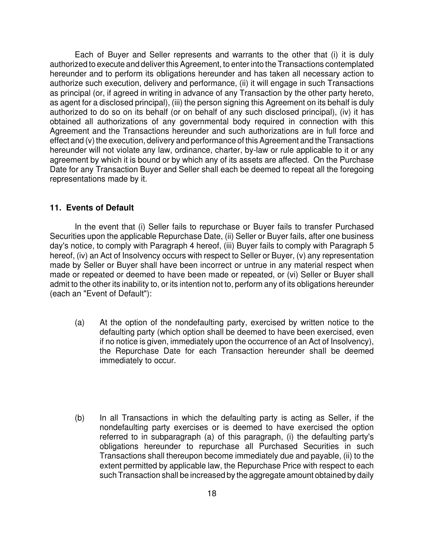Each of Buyer and Seller represents and warrants to the other that (i) it is duly authorized to execute and deliver this Agreement, to enter into the Transactions contemplated hereunder and to perform its obligations hereunder and has taken all necessary action to authorize such execution, delivery and performance, (ii) it will engage in such Transactions as principal (or, if agreed in writing in advance of any Transaction by the other party hereto, as agent for a disclosed principal), (iii) the person signing this Agreement on its behalf is duly authorized to do so on its behalf (or on behalf of any such disclosed principal), (iv) it has obtained all authorizations of any governmental body required in connection with this Agreement and the Transactions hereunder and such authorizations are in full force and effect and (v) the execution, delivery and performance of this Agreement and the Transactions hereunder will not violate any law, ordinance, charter, by-law or rule applicable to it or any agreement by which it is bound or by which any of its assets are affected. On the Purchase Date for any Transaction Buyer and Seller shall each be deemed to repeat all the foregoing representations made by it.

#### **11. Events of Default**

In the event that (i) Seller fails to repurchase or Buyer fails to transfer Purchased Securities upon the applicable Repurchase Date, (ii) Seller or Buyer fails, after one business day's notice, to comply with Paragraph 4 hereof, (iii) Buyer fails to comply with Paragraph 5 hereof, (iv) an Act of Insolvency occurs with respect to Seller or Buyer, (v) any representation made by Seller or Buyer shall have been incorrect or untrue in any material respect when made or repeated or deemed to have been made or repeated, or (vi) Seller or Buyer shall admit to the other its inability to, or its intention not to, perform any of its obligations hereunder (each an "Event of Default"):

- (a) At the option of the nondefaulting party, exercised by written notice to the defaulting party (which option shall be deemed to have been exercised, even if no notice is given, immediately upon the occurrence of an Act of Insolvency), the Repurchase Date for each Transaction hereunder shall be deemed immediately to occur.
- (b) In all Transactions in which the defaulting party is acting as Seller, if the nondefaulting party exercises or is deemed to have exercised the option referred to in subparagraph (a) of this paragraph, (i) the defaulting party's obligations hereunder to repurchase all Purchased Securities in such Transactions shall thereupon become immediately due and payable, (ii) to the extent permitted by applicable law, the Repurchase Price with respect to each such Transaction shall be increased by the aggregate amount obtained by daily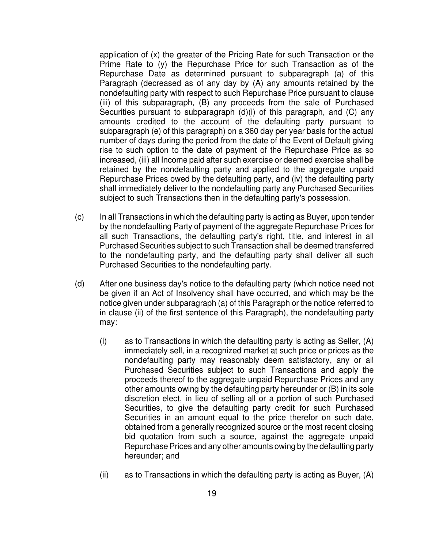application of (x) the greater of the Pricing Rate for such Transaction or the Prime Rate to (y) the Repurchase Price for such Transaction as of the Repurchase Date as determined pursuant to subparagraph (a) of this Paragraph (decreased as of any day by (A) any amounts retained by the nondefaulting party with respect to such Repurchase Price pursuant to clause (iii) of this subparagraph, (B) any proceeds from the sale of Purchased Securities pursuant to subparagraph (d)(i) of this paragraph, and (C) any amounts credited to the account of the defaulting party pursuant to subparagraph (e) of this paragraph) on a 360 day per year basis for the actual number of days during the period from the date of the Event of Default giving rise to such option to the date of payment of the Repurchase Price as so increased, (iii) all Income paid after such exercise or deemed exercise shall be retained by the nondefaulting party and applied to the aggregate unpaid Repurchase Prices owed by the defaulting party, and (iv) the defaulting party shall immediately deliver to the nondefaulting party any Purchased Securities subject to such Transactions then in the defaulting party's possession.

- (c) In all Transactions in which the defaulting party is acting as Buyer, upon tender by the nondefaulting Party of payment of the aggregate Repurchase Prices for all such Transactions, the defaulting party's right, title, and interest in all Purchased Securities subject to such Transaction shall be deemed transferred to the nondefaulting party, and the defaulting party shall deliver all such Purchased Securities to the nondefaulting party.
- (d) After one business day's notice to the defaulting party (which notice need not be given if an Act of Insolvency shall have occurred, and which may be the notice given under subparagraph (a) of this Paragraph or the notice referred to in clause (ii) of the first sentence of this Paragraph), the nondefaulting party may:
	- (i) as to Transactions in which the defaulting party is acting as Seller, (A) immediately sell, in a recognized market at such price or prices as the nondefaulting party may reasonably deem satisfactory, any or all Purchased Securities subject to such Transactions and apply the proceeds thereof to the aggregate unpaid Repurchase Prices and any other amounts owing by the defaulting party hereunder or (B) in its sole discretion elect, in lieu of selling all or a portion of such Purchased Securities, to give the defaulting party credit for such Purchased Securities in an amount equal to the price therefor on such date, obtained from a generally recognized source or the most recent closing bid quotation from such a source, against the aggregate unpaid Repurchase Prices and any other amounts owing by the defaulting party hereunder; and
	- (ii) as to Transactions in which the defaulting party is acting as Buyer, (A)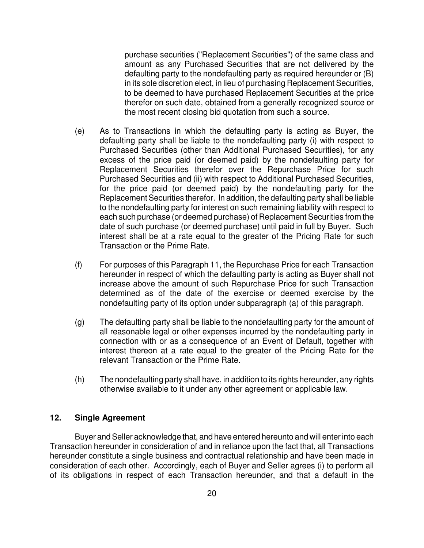purchase securities ("Replacement Securities") of the same class and amount as any Purchased Securities that are not delivered by the defaulting party to the nondefaulting party as required hereunder or (B) in its sole discretion elect, in lieu of purchasing Replacement Securities, to be deemed to have purchased Replacement Securities at the price therefor on such date, obtained from a generally recognized source or the most recent closing bid quotation from such a source.

- (e) As to Transactions in which the defaulting party is acting as Buyer, the defaulting party shall be liable to the nondefaulting party (i) with respect to Purchased Securities (other than Additional Purchased Securities), for any excess of the price paid (or deemed paid) by the nondefaulting party for Replacement Securities therefor over the Repurchase Price for such Purchased Securities and (ii) with respect to Additional Purchased Securities, for the price paid (or deemed paid) by the nondefaulting party for the Replacement Securities therefor. In addition, the defaulting party shall be liable to the nondefaulting party for interest on such remaining liability with respect to each such purchase (or deemed purchase) of Replacement Securities from the date of such purchase (or deemed purchase) until paid in full by Buyer. Such interest shall be at a rate equal to the greater of the Pricing Rate for such Transaction or the Prime Rate.
- (f) For purposes of this Paragraph 11, the Repurchase Price for each Transaction hereunder in respect of which the defaulting party is acting as Buyer shall not increase above the amount of such Repurchase Price for such Transaction determined as of the date of the exercise or deemed exercise by the nondefaulting party of its option under subparagraph (a) of this paragraph.
- (g) The defaulting party shall be liable to the nondefaulting party for the amount of all reasonable legal or other expenses incurred by the nondefaulting party in connection with or as a consequence of an Event of Default, together with interest thereon at a rate equal to the greater of the Pricing Rate for the relevant Transaction or the Prime Rate.
- (h) The nondefaulting party shall have, in addition to its rights hereunder, any rights otherwise available to it under any other agreement or applicable law.

#### **12. Single Agreement**

Buyer and Seller acknowledge that, and have entered hereunto and will enter into each Transaction hereunder in consideration of and in reliance upon the fact that, all Transactions hereunder constitute a single business and contractual relationship and have been made in consideration of each other. Accordingly, each of Buyer and Seller agrees (i) to perform all of its obligations in respect of each Transaction hereunder, and that a default in the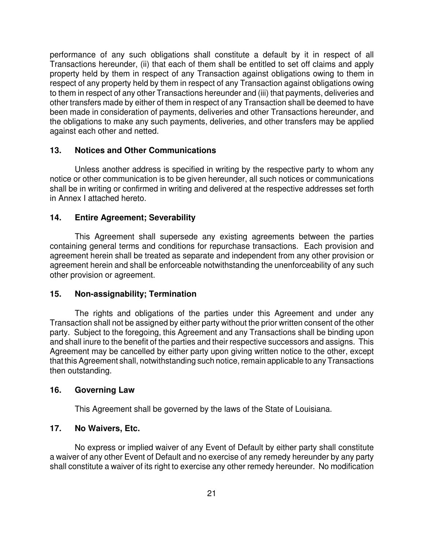performance of any such obligations shall constitute a default by it in respect of all Transactions hereunder, (ii) that each of them shall be entitled to set off claims and apply property held by them in respect of any Transaction against obligations owing to them in respect of any property held by them in respect of any Transaction against obligations owing to them in respect of any other Transactions hereunder and (iii) that payments, deliveries and other transfers made by either of them in respect of any Transaction shall be deemed to have been made in consideration of payments, deliveries and other Transactions hereunder, and the obligations to make any such payments, deliveries, and other transfers may be applied against each other and netted.

#### **13. Notices and Other Communications**

Unless another address is specified in writing by the respective party to whom any notice or other communication is to be given hereunder, all such notices or communications shall be in writing or confirmed in writing and delivered at the respective addresses set forth in Annex I attached hereto.

#### **14. Entire Agreement; Severability**

This Agreement shall supersede any existing agreements between the parties containing general terms and conditions for repurchase transactions. Each provision and agreement herein shall be treated as separate and independent from any other provision or agreement herein and shall be enforceable notwithstanding the unenforceability of any such other provision or agreement.

## **15. Non-assignability; Termination**

The rights and obligations of the parties under this Agreement and under any Transaction shall not be assigned by either party without the prior written consent of the other party. Subject to the foregoing, this Agreement and any Transactions shall be binding upon and shall inure to the benefit of the parties and their respective successors and assigns. This Agreement may be cancelled by either party upon giving written notice to the other, except that this Agreement shall, notwithstanding such notice, remain applicable to any Transactions then outstanding.

#### **16. Governing Law**

This Agreement shall be governed by the laws of the State of Louisiana.

## **17. No Waivers, Etc.**

No express or implied waiver of any Event of Default by either party shall constitute a waiver of any other Event of Default and no exercise of any remedy hereunder by any party shall constitute a waiver of its right to exercise any other remedy hereunder. No modification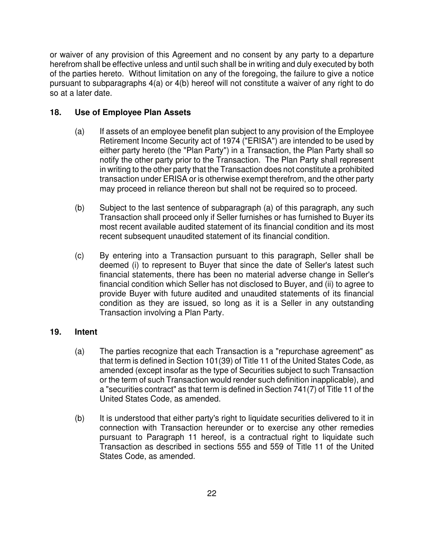or waiver of any provision of this Agreement and no consent by any party to a departure herefrom shall be effective unless and until such shall be in writing and duly executed by both of the parties hereto. Without limitation on any of the foregoing, the failure to give a notice pursuant to subparagraphs 4(a) or 4(b) hereof will not constitute a waiver of any right to do so at a later date.

# **18. Use of Employee Plan Assets**

- (a) If assets of an employee benefit plan subject to any provision of the Employee Retirement Income Security act of 1974 ("ERISA") are intended to be used by either party hereto (the "Plan Party") in a Transaction, the Plan Party shall so notify the other party prior to the Transaction. The Plan Party shall represent in writing to the other party that the Transaction does not constitute a prohibited transaction under ERISA or is otherwise exempt therefrom, and the other party may proceed in reliance thereon but shall not be required so to proceed.
- (b) Subject to the last sentence of subparagraph (a) of this paragraph, any such Transaction shall proceed only if Seller furnishes or has furnished to Buyer its most recent available audited statement of its financial condition and its most recent subsequent unaudited statement of its financial condition.
- (c) By entering into a Transaction pursuant to this paragraph, Seller shall be deemed (i) to represent to Buyer that since the date of Seller's latest such financial statements, there has been no material adverse change in Seller's financial condition which Seller has not disclosed to Buyer, and (ii) to agree to provide Buyer with future audited and unaudited statements of its financial condition as they are issued, so long as it is a Seller in any outstanding Transaction involving a Plan Party.

## **19. Intent**

- (a) The parties recognize that each Transaction is a "repurchase agreement" as that term is defined in Section 101(39) of Title 11 of the United States Code, as amended (except insofar as the type of Securities subject to such Transaction or the term of such Transaction would render such definition inapplicable), and a "securities contract" as that term is defined in Section 741(7) of Title 11 of the United States Code, as amended.
- (b) It is understood that either party's right to liquidate securities delivered to it in connection with Transaction hereunder or to exercise any other remedies pursuant to Paragraph 11 hereof, is a contractual right to liquidate such Transaction as described in sections 555 and 559 of Title 11 of the United States Code, as amended.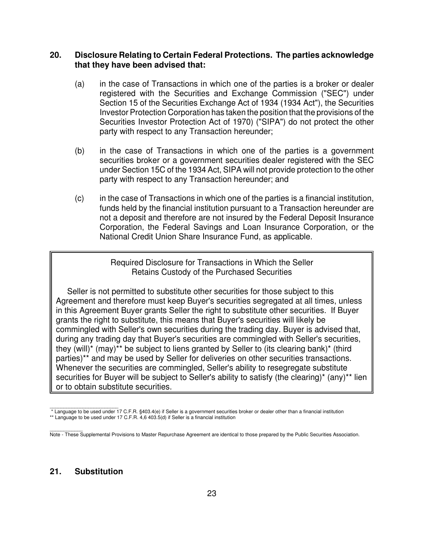#### **20. Disclosure Relating to Certain Federal Protections. The parties acknowledge that they have been advised that:**

- (a) in the case of Transactions in which one of the parties is a broker or dealer registered with the Securities and Exchange Commission ("SEC") under Section 15 of the Securities Exchange Act of 1934 (1934 Act"), the Securities Investor Protection Corporation has taken the position that the provisions of the Securities Investor Protection Act of 1970) ("SIPA") do not protect the other party with respect to any Transaction hereunder;
- (b) in the case of Transactions in which one of the parties is a government securities broker or a government securities dealer registered with the SEC under Section 15C of the 1934 Act, SIPA will not provide protection to the other party with respect to any Transaction hereunder; and
- (c) in the case of Transactions in which one of the parties is a financial institution, funds held by the financial institution pursuant to a Transaction hereunder are not a deposit and therefore are not insured by the Federal Deposit Insurance Corporation, the Federal Savings and Loan Insurance Corporation, or the National Credit Union Share Insurance Fund, as applicable.

Required Disclosure for Transactions in Which the Seller Retains Custody of the Purchased Securities

 Seller is not permitted to substitute other securities for those subject to this Agreement and therefore must keep Buyer's securities segregated at all times, unless in this Agreement Buyer grants Seller the right to substitute other securities. If Buyer grants the right to substitute, this means that Buyer's securities will likely be commingled with Seller's own securities during the trading day. Buyer is advised that, during any trading day that Buyer's securities are commingled with Seller's securities, they (will)\* (may)\*\* be subject to liens granted by Seller to (its clearing bank)\* (third parties)\*\* and may be used by Seller for deliveries on other securities transactions. Whenever the securities are commingled, Seller's ability to resegregate substitute securities for Buyer will be subject to Seller's ability to satisfy (the clearing)<sup>\*</sup> (any)<sup>\*\*</sup> lien or to obtain substitute securities.

## **21. Substitution**

\_\_\_\_\_\_\_\_\_\_\_\_\_\_\_\_\_\_\_\_\_\_\_\_\_ \* Language to be used under 17 C.F.R. §403.4(e) if Seller is a government securities broker or dealer other than a financial institution \*\* Language to be used under 17 C.F.R. 4,6 403.5(d) if Seller is a financial institution

 $\mathcal{L}_\text{max}$  and  $\mathcal{L}_\text{max}$ Note - These Supplemental Provisions to Master Repurchase Agreement are identical to those prepared by the Public Securities Association.